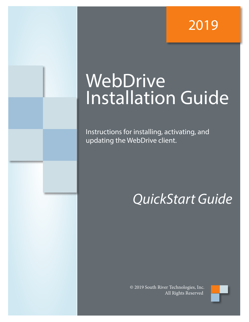## 2019

# WebDrive Installation Guide

Instructions for installing, activating, and updating the WebDrive client.

## *QuickStart Guide*

© 2019 South River Technologies, Inc. All Rights Reserved

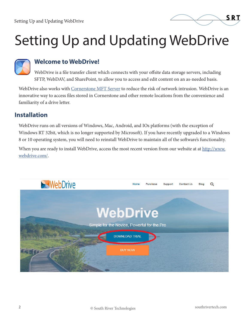

# Setting Up and Updating WebDrive



#### **Welcome to WebDrive!**

WebDrive is a file transfer client which connects with your offsite data storage servers, including SFTP, WebDAV, and SharePoint, to allow you to access and edit content on an as-needed basis.

WebDrive also works with Cornerstone MFT Server to reduce the risk of network intrusion. WebDrive is an innovative way to access files stored in Cornerstone and other remote locations from the convenience and familiarity of a drive letter.

#### **Installation**

WebDrive runs on all versions of Windows, Mac, Android, and IOs platforms (with the exception of Windows RT 32bit, which is no longer supported by Microsoft). If you have recently upgraded to a Windows 8 or 10 operating system, you will need to reinstall WebDrive to maintain all of the software's functionality.

When you are ready to install WebDrive, access the most recent version from our website at at http://www. webdrive.com/.

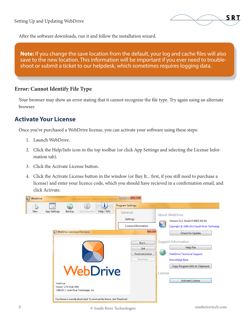![](_page_2_Figure_1.jpeg)

After the software downloads, run it and follow the installation wizard.

**Note:** If you change the save location from the default, your log and cache files will also save to the new location. This information will be important if you ever need to troubleshoot or submit a ticket to our helpdesk, which sometimes requires logging data.

#### **Error: Cannot Identify File Type**

Your browser may show an error stating that it cannot recognize the file type. Try again using an alternate browser.

#### **Activate Your License**

Once you've purchased a WebDrive license, you can activate your software using these steps:

- 1. Launch WebDrive.
- 2. Click the Help/Info icon in the top toolbar (or click App Settings and selecting the License Information tab).
- 3. Click the Activate License button.
- 4. Click the Activate License button in the window (or Buy It... first, if you still need to purchase a license) and enter your licence code, which you should have recieved in a confirmation email, and click Activate.

![](_page_2_Picture_12.jpeg)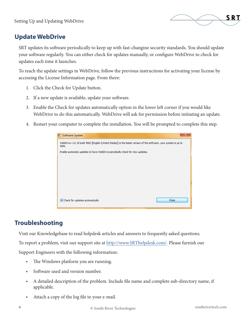![](_page_3_Figure_1.jpeg)

#### **Update WebDrive**

SRT updates its software periodically to keep up with fast-changine security standards. You should update your software regularly. You can either check for updates manually, or configure WebDrive to check for updates each time it launches.

To reach the update settings in WebDrive, follow the previous instructions for activating your license by accessing the License Information page. From there:

- 1. Click the Check for Update button.
- 2. If a new update is available, update your software.
- 3. Enable the Check for updates automatically option in the lower left corner if you would like WebDrive to do this automatically. WebDrive will ask for permission before initiating an update.
- 4. Restart your computer to complete the installation. You will be prompted to complete this step.

| Software Update                                                                                                            |
|----------------------------------------------------------------------------------------------------------------------------|
| WebDrive v12, 10 build 4082 [English (United States)] is the latest version of the software, your system is up to<br>date. |
| Enable automatic updates to have WebDrive perodically check for new updates.                                               |
|                                                                                                                            |
|                                                                                                                            |
|                                                                                                                            |
|                                                                                                                            |
|                                                                                                                            |
|                                                                                                                            |
| Close                                                                                                                      |
| Check for updates automatically                                                                                            |

#### **Troubleshooting**

Visit our Knowledgebase to read helpdesk articles and answers to frequently asked questions.

To report a problem, visit our support site at http://www.SRThelpdesk.com/. Please furnish our

Support Engineers with the following information:

- **•** The Windows platform you are running.
- **•** Software used and version number.
- **•** A detailed description of the problem. Include file name and complete sub-directory name, if applicable.
- **•** Attach a copy of the log file to your e-mail.